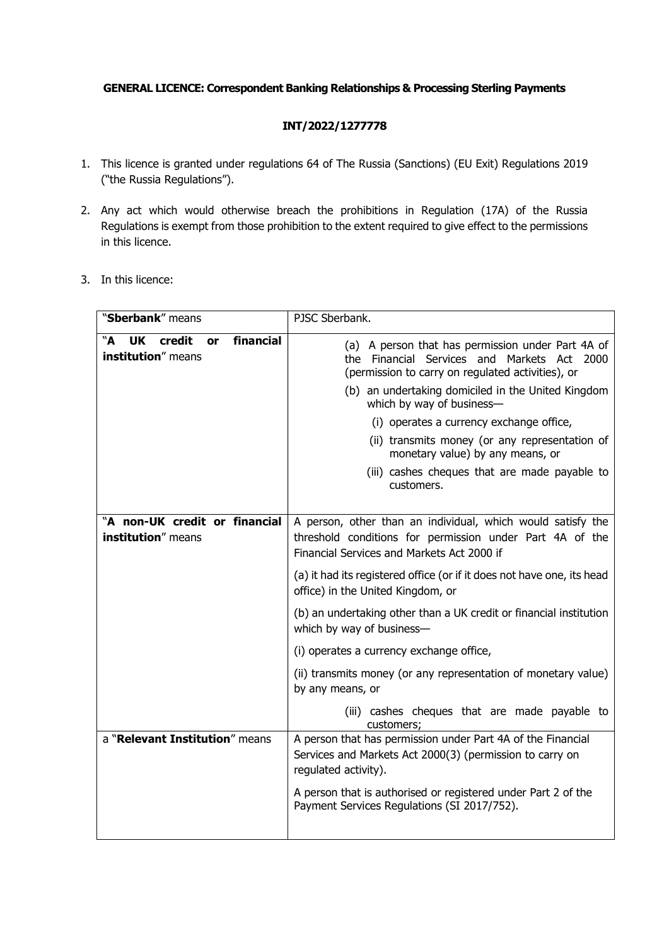#### GENERAL LICENCE: Correspondent Banking Relationships & Processing Sterling Payments

### INT/2022/1277778

- 1. This licence is granted under regulations 64 of The Russia (Sanctions) (EU Exit) Regulations 2019 ("the Russia Regulations").
- 2. Any act which would otherwise breach the prohibitions in Regulation (17A) of the Russia Regulations is exempt from those prohibition to the extent required to give effect to the permissions in this licence.
- 3. In this licence:

| "Sberbank" means                                                           | PJSC Sberbank.                                                                                                                                        |
|----------------------------------------------------------------------------|-------------------------------------------------------------------------------------------------------------------------------------------------------|
| financial<br>"A<br><b>UK</b><br>credit<br>or<br><b>institution</b> " means | (a) A person that has permission under Part 4A of<br>the Financial Services and Markets Act 2000<br>(permission to carry on regulated activities), or |
|                                                                            | (b) an undertaking domiciled in the United Kingdom<br>which by way of business-                                                                       |
|                                                                            | (i) operates a currency exchange office,                                                                                                              |
|                                                                            | (ii) transmits money (or any representation of<br>monetary value) by any means, or                                                                    |
|                                                                            | (iii) cashes cheques that are made payable to<br>customers.                                                                                           |
| "A non-UK credit or financial                                              | A person, other than an individual, which would satisfy the                                                                                           |
| institution" means                                                         | threshold conditions for permission under Part 4A of the<br>Financial Services and Markets Act 2000 if                                                |
|                                                                            | (a) it had its registered office (or if it does not have one, its head<br>office) in the United Kingdom, or                                           |
|                                                                            | (b) an undertaking other than a UK credit or financial institution<br>which by way of business-                                                       |
|                                                                            | (i) operates a currency exchange office,                                                                                                              |
|                                                                            | (ii) transmits money (or any representation of monetary value)<br>by any means, or                                                                    |
|                                                                            | (iii) cashes cheques that are made payable to<br>customers;                                                                                           |
| a "Relevant Institution" means                                             | A person that has permission under Part 4A of the Financial<br>Services and Markets Act 2000(3) (permission to carry on<br>regulated activity).       |
|                                                                            | A person that is authorised or registered under Part 2 of the<br>Payment Services Regulations (SI 2017/752).                                          |
|                                                                            |                                                                                                                                                       |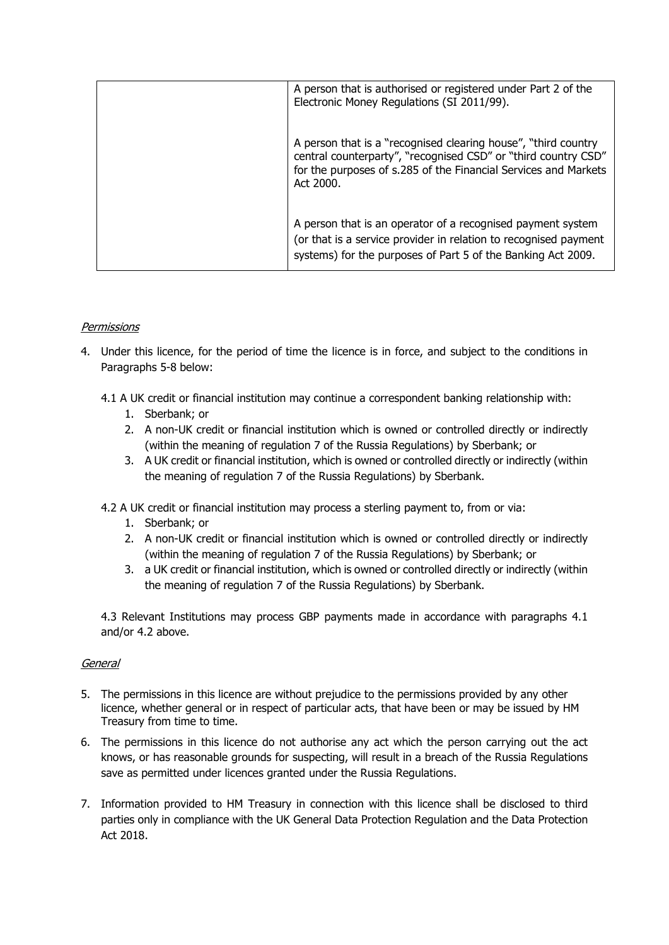| A person that is authorised or registered under Part 2 of the<br>Electronic Money Regulations (SI 2011/99).                                                                                                      |
|------------------------------------------------------------------------------------------------------------------------------------------------------------------------------------------------------------------|
| A person that is a "recognised clearing house", "third country<br>central counterparty", "recognised CSD" or "third country CSD"<br>for the purposes of s.285 of the Financial Services and Markets<br>Act 2000. |
| A person that is an operator of a recognised payment system<br>(or that is a service provider in relation to recognised payment<br>systems) for the purposes of Part 5 of the Banking Act 2009.                  |

## **Permissions**

- 4. Under this licence, for the period of time the licence is in force, and subject to the conditions in Paragraphs 5-8 below:
	- 4.1 A UK credit or financial institution may continue a correspondent banking relationship with:
		- 1. Sberbank; or
		- 2. A non-UK credit or financial institution which is owned or controlled directly or indirectly (within the meaning of regulation 7 of the Russia Regulations) by Sberbank; or
		- 3. A UK credit or financial institution, which is owned or controlled directly or indirectly (within the meaning of regulation 7 of the Russia Regulations) by Sberbank.
	- 4.2 A UK credit or financial institution may process a sterling payment to, from or via:
		- 1. Sberbank; or
		- 2. A non-UK credit or financial institution which is owned or controlled directly or indirectly (within the meaning of regulation 7 of the Russia Regulations) by Sberbank; or
		- 3. a UK credit or financial institution, which is owned or controlled directly or indirectly (within the meaning of regulation 7 of the Russia Regulations) by Sberbank.

4.3 Relevant Institutions may process GBP payments made in accordance with paragraphs 4.1 and/or 4.2 above.

#### General

- 5. The permissions in this licence are without prejudice to the permissions provided by any other licence, whether general or in respect of particular acts, that have been or may be issued by HM Treasury from time to time.
- 6. The permissions in this licence do not authorise any act which the person carrying out the act knows, or has reasonable grounds for suspecting, will result in a breach of the Russia Regulations save as permitted under licences granted under the Russia Regulations.
- 7. Information provided to HM Treasury in connection with this licence shall be disclosed to third parties only in compliance with the UK General Data Protection Regulation and the Data Protection Act 2018.